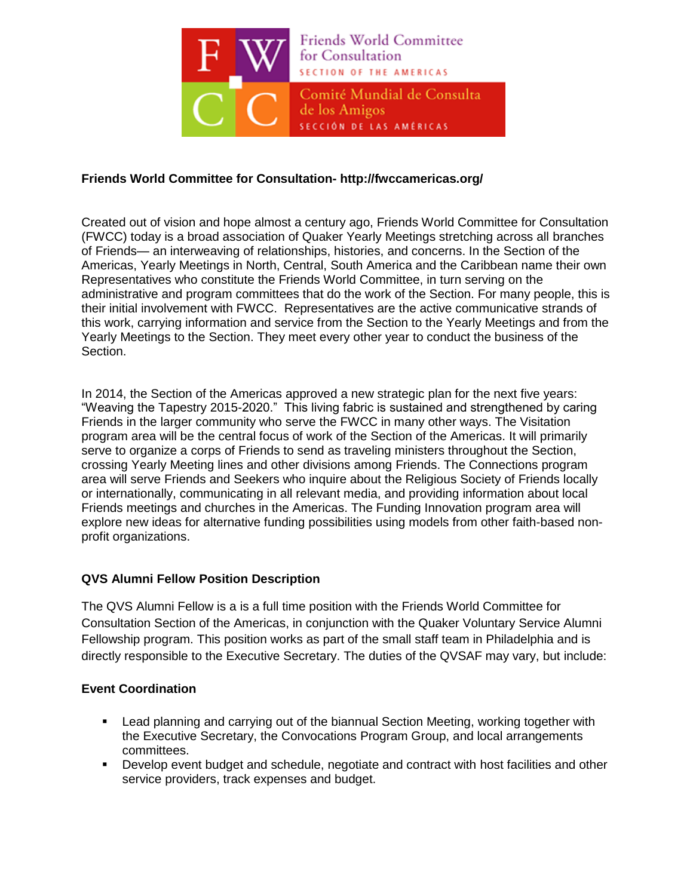

### **Friends World Committee for Consultation- http://fwccamericas.org/**

Created out of vision and hope almost a century ago, Friends World Committee for Consultation (FWCC) today is a broad association of Quaker Yearly Meetings stretching across all branches of Friends— an interweaving of relationships, histories, and concerns. In the Section of the Americas, Yearly Meetings in North, Central, South America and the Caribbean name their own Representatives who constitute the Friends World Committee, in turn serving on the administrative and program committees that do the work of the Section. For many people, this is their initial involvement with FWCC. Representatives are the active communicative strands of this work, carrying information and service from the Section to the Yearly Meetings and from the Yearly Meetings to the Section. They meet every other year to conduct the business of the Section.

In 2014, the Section of the Americas approved a new strategic plan for the next five years: "Weaving the Tapestry 2015-2020." This living fabric is sustained and strengthened by caring Friends in the larger community who serve the FWCC in many other ways. The Visitation program area will be the central focus of work of the Section of the Americas. It will primarily serve to organize a corps of Friends to send as traveling ministers throughout the Section, crossing Yearly Meeting lines and other divisions among Friends. The Connections program area will serve Friends and Seekers who inquire about the Religious Society of Friends locally or internationally, communicating in all relevant media, and providing information about local Friends meetings and churches in the Americas. The Funding Innovation program area will explore new ideas for alternative funding possibilities using models from other faith-based nonprofit organizations.

# **QVS Alumni Fellow Position Description**

The QVS Alumni Fellow is a is a full time position with the Friends World Committee for Consultation Section of the Americas, in conjunction with the Quaker Voluntary Service Alumni Fellowship program. This position works as part of the small staff team in Philadelphia and is directly responsible to the Executive Secretary. The duties of the QVSAF may vary, but include:

### **Event Coordination**

- Lead planning and carrying out of the biannual Section Meeting, working together with the Executive Secretary, the Convocations Program Group, and local arrangements committees.
- Develop event budget and schedule, negotiate and contract with host facilities and other service providers, track expenses and budget.